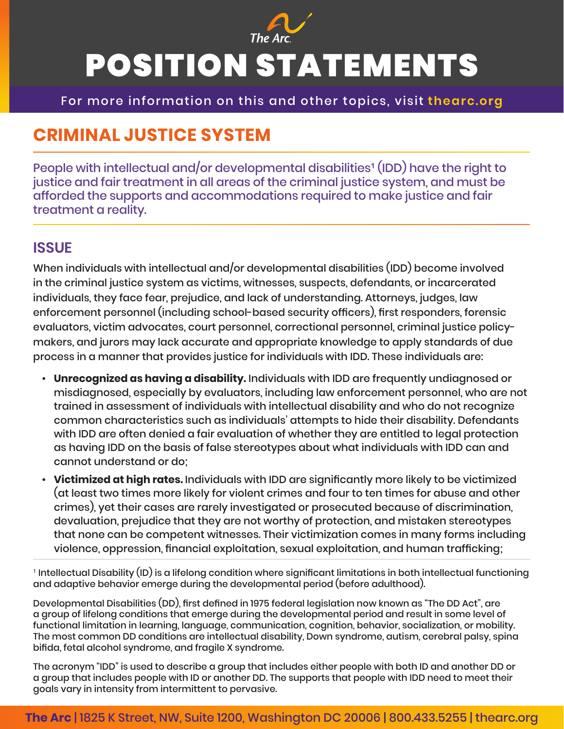

# POSITION STATEMENTS

For more information on this and other topics, visit **thearc.org**

## **CRIMINAL JUSTICE SYSTEM**

People with intellectual and/or developmental disabilities<sup>1</sup> (IDD) have the right to justice and fair treatment in all areas of the criminal justice system, and must be afforded the supports and accommodations required to make justice and fair treatment a reality.

#### **ISSUE**

When individuals with intellectual and/or developmental disabilities (IDD) become involved in the criminal justice system as victims, witnesses, suspects, defendants, or incarcerated individuals, they face fear, prejudice, and lack of understanding. Attorneys, judges, law enforcement personnel (including school-based security officers), first responders, forensic evaluators, victim advocates, court personnel, correctional personnel, criminal justice policymakers, and jurors may lack accurate and appropriate knowledge to apply standards of due process in a manner that provides justice for individuals with IDD. These individuals are:

- **Unrecognized as having a disability.** Individuals with IDD are frequently undiagnosed or misdiagnosed, especially by evaluators, including law enforcement personnel, who are not trained in assessment of individuals with intellectual disability and who do not recognize common characteristics such as individuals' attempts to hide their disability. Defendants with IDD are often denied a fair evaluation of whether they are entitled to legal protection as having IDD on the basis of false stereotypes about what individuals with IDD can and cannot understand or do;
- **Victimized at high rates.** Individuals with IDD are significantly more likely to be victimized (at least two times more likely for violent crimes and four to ten times for abuse and other crimes), yet their cases are rarely investigated or prosecuted because of discrimination, devaluation, prejudice that they are not worthy of protection, and mistaken stereotypes that none can be competent witnesses. Their victimization comes in many forms including violence, oppression, financial exploitation, sexual exploitation, and human trafficking;

1 Intellectual Disability (ID) is a lifelong condition where significant limitations in both intellectual functioning and adaptive behavior emerge during the developmental period (before adulthood).

Developmental Disabilities (DD), first defined in 1975 federal legislation now known as "The DD Act", are a group of lifelong conditions that emerge during the developmental period and result in some level of functional limitation in learning, language, communication, cognition, behavior, socialization, or mobility. The most common DD conditions are intellectual disability, Down syndrome, autism, cerebral palsy, spina bifida, fetal alcohol syndrome, and fragile X syndrome.

The acronym "IDD" is used to describe a group that includes either people with both ID and another DD or a group that includes people with ID or another DD. The supports that people with IDD need to meet their goals vary in intensity from intermittent to pervasive.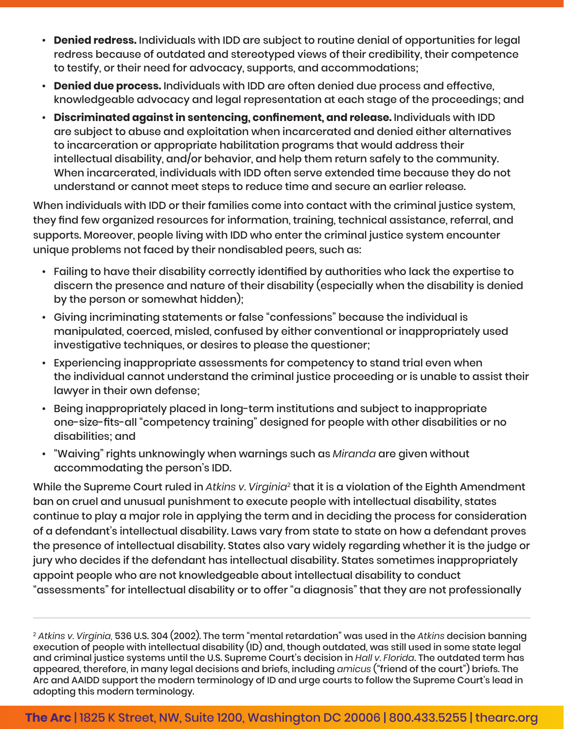- **Denied redress.** Individuals with IDD are subject to routine denial of opportunities for legal redress because of outdated and stereotyped views of their credibility, their competence to testify, or their need for advocacy, supports, and accommodations;
- **Denied due process.** Individuals with IDD are often denied due process and effective, knowledgeable advocacy and legal representation at each stage of the proceedings; and
- **Discriminated against in sentencing, confinement, and release.** Individuals with IDD are subject to abuse and exploitation when incarcerated and denied either alternatives to incarceration or appropriate habilitation programs that would address their intellectual disability, and/or behavior, and help them return safely to the community. When incarcerated, individuals with IDD often serve extended time because they do not understand or cannot meet steps to reduce time and secure an earlier release.

When individuals with IDD or their families come into contact with the criminal justice system, they find few organized resources for information, training, technical assistance, referral, and supports. Moreover, people living with IDD who enter the criminal justice system encounter unique problems not faced by their nondisabled peers, such as:

- Failing to have their disability correctly identified by authorities who lack the expertise to discern the presence and nature of their disability (especially when the disability is denied by the person or somewhat hidden);
- Giving incriminating statements or false "confessions" because the individual is manipulated, coerced, misled, confused by either conventional or inappropriately used investigative techniques, or desires to please the questioner;
- Experiencing inappropriate assessments for competency to stand trial even when the individual cannot understand the criminal justice proceeding or is unable to assist their lawyer in their own defense;
- Being inappropriately placed in long-term institutions and subject to inappropriate one-size-fits-all "competency training" designed for people with other disabilities or no disabilities; and
- "Waiving" rights unknowingly when warnings such as *Miranda* are given without accommodating the person's IDD.

While the Supreme Court ruled in A*tkins v. Virginia*<sup>2</sup> that it is a violation of the Eighth Amendment ban on cruel and unusual punishment to execute people with intellectual disability, states continue to play a major role in applying the term and in deciding the process for consideration of a defendant's intellectual disability. Laws vary from state to state on how a defendant proves the presence of intellectual disability. States also vary widely regarding whether it is the judge or jury who decides if the defendant has intellectual disability. States sometimes inappropriately appoint people who are not knowledgeable about intellectual disability to conduct "assessments" for intellectual disability or to offer "a diagnosis" that they are not professionally

<sup>2</sup> *Atkins v. Virginia,* 536 U.S. 304 (2002). The term "mental retardation" was used in the *Atkins* decision banning execution of people with intellectual disability (ID) and, though outdated, was still used in some state legal and criminal justice systems until the U.S. Supreme Court's decision in *Hall v. Florida*. The outdated term has appeared, therefore, in many legal decisions and briefs, including *amicus* ("friend of the court") briefs. The Arc and AAIDD support the modern terminology of ID and urge courts to follow the Supreme Court's lead in adopting this modern terminology.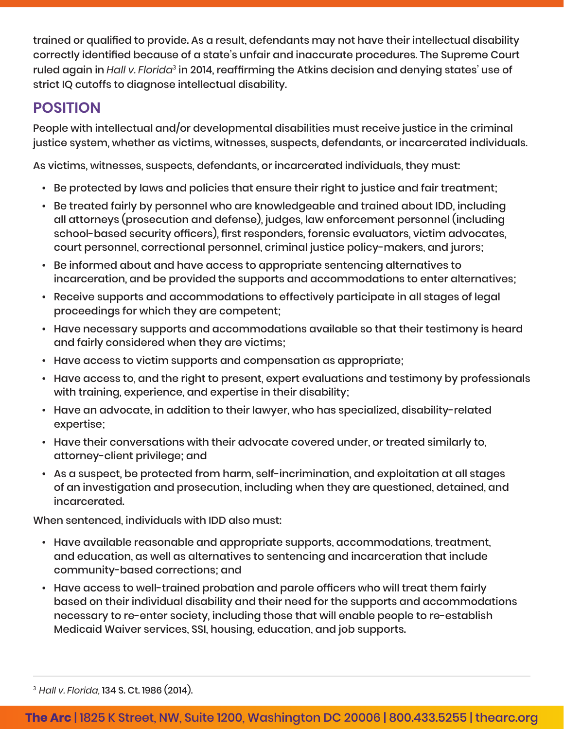trained or qualified to provide. As a result, defendants may not have their intellectual disability correctly identified because of a state's unfair and inaccurate procedures. The Supreme Court ruled again in *Hall v. Florida*3 in 2014, reaffirming the Atkins decision and denying states' use of strict IQ cutoffs to diagnose intellectual disability.

### **POSITION**

People with intellectual and/or developmental disabilities must receive justice in the criminal justice system, whether as victims, witnesses, suspects, defendants, or incarcerated individuals.

As victims, witnesses, suspects, defendants, or incarcerated individuals, they must:

- Be protected by laws and policies that ensure their right to justice and fair treatment;
- Be treated fairly by personnel who are knowledgeable and trained about IDD, including all attorneys (prosecution and defense), judges, law enforcement personnel (including school-based security officers), first responders, forensic evaluators, victim advocates, court personnel, correctional personnel, criminal justice policy-makers, and jurors;
- Be informed about and have access to appropriate sentencing alternatives to incarceration, and be provided the supports and accommodations to enter alternatives;
- Receive supports and accommodations to effectively participate in all stages of legal proceedings for which they are competent;
- Have necessary supports and accommodations available so that their testimony is heard and fairly considered when they are victims;
- Have access to victim supports and compensation as appropriate;
- Have access to, and the right to present, expert evaluations and testimony by professionals with training, experience, and expertise in their disability;
- Have an advocate, in addition to their lawyer, who has specialized, disability-related expertise;
- Have their conversations with their advocate covered under, or treated similarly to, attorney-client privilege; and
- As a suspect, be protected from harm, self-incrimination, and exploitation at all stages of an investigation and prosecution, including when they are questioned, detained, and incarcerated.

When sentenced, individuals with IDD also must:

- Have available reasonable and appropriate supports, accommodations, treatment, and education, as well as alternatives to sentencing and incarceration that include community-based corrections; and
- Have access to well-trained probation and parole officers who will treat them fairly based on their individual disability and their need for the supports and accommodations necessary to re-enter society, including those that will enable people to re-establish Medicaid Waiver services, SSI, housing, education, and job supports.

<sup>3</sup>*Hall v. Florida,* 134 S. Ct. 1986 (2014).

#### **The Arc** | 1825 K Street, NW, Suite 1200, Washington DC 20006 | 800.433.5255 | thearc.org